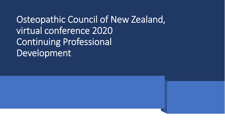Osteopathic Council of New Zealand, virtual conference 2020 Continuing Professional Development

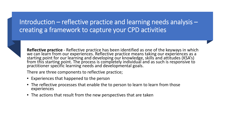#### Introduction – reflective practice and learning needs analysis – creating a framework to capture your CPD activities



**Reflective practice** - Reflective practice has been identified as one of the keyways in which we can learn from our experiences. Reflective practice means taking our experiences as a starting point for our learning and developing our knowledge, skills and attitudes (KSA's) from this starting point. The process is completely individual and as such is responsive to practitioner specific learning needs and developmental goals.

There are three components to reflective practice;

- Experiences that happened to the person
- The reflective processes that enable the to person to learn to learn from those experiences
- The actions that result from the new perspectives that are taken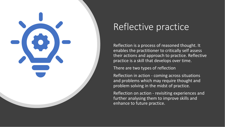

# Reflective practice

Reflection is a process of reasoned thought. It enables the practitioner to critically self assess their actions and approach to practice. Reflective practice is a skill that develops over time.

There are two types of reflection

Reflection in action - coming across situations and problems which may require thought and problem solving in the midst of practice.

Reflection on action - revisiting experiences and further analysing them to improve skills and enhance to future practice.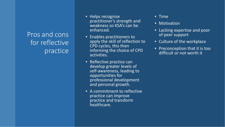### Pros and cons for reflective practice

- Helps recognise practitioner's strength and weakness so KSA's can be enhanced.
- Enables practitioners to apply the skill of reflection to CPD cycles, this then informing the choice of CPD activities.
- Reflective practice can develop greater levels of self-awareness, leading to opportunities for professional development and personal growth.
- A commitment to reflective practice can improve practice and transform healthcare.
- Time
- **Motivation**
- Lacking expertise and poor of peer support
- Culture of the workplace
- Preconception that it is too difficult or not worth it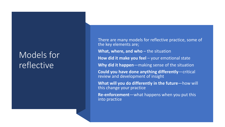# Models for reflective

There are many models for reflective practice, some of the key elements are; **What, where, and who** – the situation **How did it make you feel** – your emotional state **Why did it happen**—making sense of the situation **Could you have done anything differently**—critical review and development of insight **What will you do differently in the future**—how will this change your practice **Re-enforcement**—what happens when you put this into practice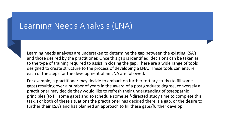## Learning Needs Analysis (LNA)



Learning needs analyses are undertaken to determine the gap between the existing KSA's and those desired by the practitioner. Once this gap is identified, decisions can be taken as to the type of training required to assist in closing the gap. There are a wide range of tools designed to create structure to the process of developing a LNA. These tools can ensure each of the steps for the development of an LNA are followed.

For example, a practitioner may decide to embark on further tertiary study (to fill some gaps) resulting over a number of years in the award of a post graduate degree, conversely a practitioner may decide they would like to refresh their understanding of osteopathic principles (to fill some gaps) and so schedule some self-directed study time to complete this task. For both of these situations the practitioner has decided there is a gap, or the desire to further their KSA's and has planned an approach to fill these gaps/further develop.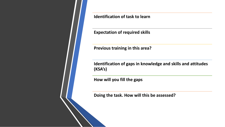**Identification of task to learn**

**Expectation of required skills**

**Previous training in this area?**

**Identification of gaps in knowledge and skills and attitudes (KSA's)**

**How will you fill the gaps**

**Doing the task. How will this be assessed?**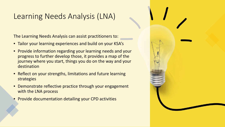### Learning Needs Analysis (LNA)

The Learning Needs Analysis can assist practitioners to:

- Tailor your learning experiences and build on your KSA's
- Provide information regarding your learning needs and your progress to further develop those, it provides a map of the journey where you start, things you do on the way and your destination
- Reflect on your strengths, limitations and future learning strategies
- Demonstrate reflective practice through your engagement with the LNA process
- Provide documentation detailing your CPD activities